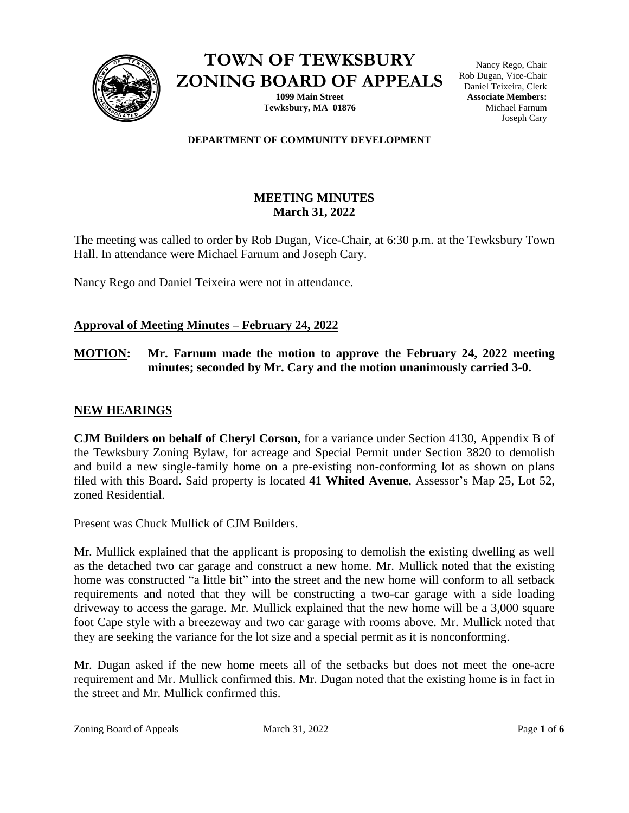

**TOWN OF TEWKSBURY ZONING BOARD OF APPEALS**

> **1099 Main Street Tewksbury, MA 01876**

Nancy Rego, Chair Rob Dugan, Vice-Chair Daniel Teixeira, Clerk **Associate Members:** Michael Farnum Joseph Cary

#### **DEPARTMENT OF COMMUNITY DEVELOPMENT**

## **MEETING MINUTES March 31, 2022**

The meeting was called to order by Rob Dugan, Vice-Chair, at 6:30 p.m. at the Tewksbury Town Hall. In attendance were Michael Farnum and Joseph Cary.

Nancy Rego and Daniel Teixeira were not in attendance.

## **Approval of Meeting Minutes – February 24, 2022**

## **MOTION: Mr. Farnum made the motion to approve the February 24, 2022 meeting minutes; seconded by Mr. Cary and the motion unanimously carried 3-0.**

## **NEW HEARINGS**

**CJM Builders on behalf of Cheryl Corson,** for a variance under Section 4130, Appendix B of the Tewksbury Zoning Bylaw, for acreage and Special Permit under Section 3820 to demolish and build a new single-family home on a pre-existing non-conforming lot as shown on plans filed with this Board. Said property is located **41 Whited Avenue**, Assessor's Map 25, Lot 52, zoned Residential.

Present was Chuck Mullick of CJM Builders.

Mr. Mullick explained that the applicant is proposing to demolish the existing dwelling as well as the detached two car garage and construct a new home. Mr. Mullick noted that the existing home was constructed "a little bit" into the street and the new home will conform to all setback requirements and noted that they will be constructing a two-car garage with a side loading driveway to access the garage. Mr. Mullick explained that the new home will be a 3,000 square foot Cape style with a breezeway and two car garage with rooms above. Mr. Mullick noted that they are seeking the variance for the lot size and a special permit as it is nonconforming.

Mr. Dugan asked if the new home meets all of the setbacks but does not meet the one-acre requirement and Mr. Mullick confirmed this. Mr. Dugan noted that the existing home is in fact in the street and Mr. Mullick confirmed this.

Zoning Board of Appeals March 31, 2022 Page **1** of **6**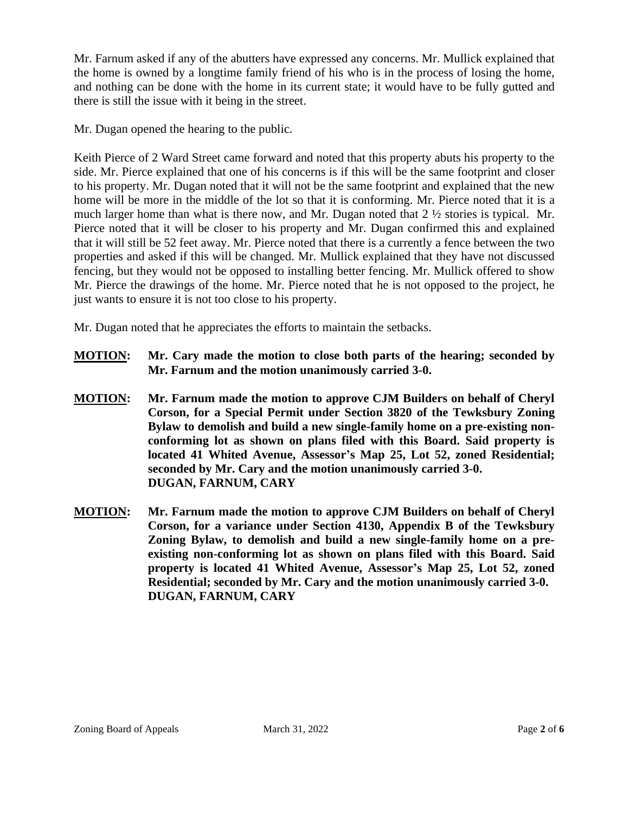Mr. Farnum asked if any of the abutters have expressed any concerns. Mr. Mullick explained that the home is owned by a longtime family friend of his who is in the process of losing the home, and nothing can be done with the home in its current state; it would have to be fully gutted and there is still the issue with it being in the street.

Mr. Dugan opened the hearing to the public.

Keith Pierce of 2 Ward Street came forward and noted that this property abuts his property to the side. Mr. Pierce explained that one of his concerns is if this will be the same footprint and closer to his property. Mr. Dugan noted that it will not be the same footprint and explained that the new home will be more in the middle of the lot so that it is conforming. Mr. Pierce noted that it is a much larger home than what is there now, and Mr. Dugan noted that 2 ½ stories is typical. Mr. Pierce noted that it will be closer to his property and Mr. Dugan confirmed this and explained that it will still be 52 feet away. Mr. Pierce noted that there is a currently a fence between the two properties and asked if this will be changed. Mr. Mullick explained that they have not discussed fencing, but they would not be opposed to installing better fencing. Mr. Mullick offered to show Mr. Pierce the drawings of the home. Mr. Pierce noted that he is not opposed to the project, he just wants to ensure it is not too close to his property.

Mr. Dugan noted that he appreciates the efforts to maintain the setbacks.

- **MOTION: Mr. Cary made the motion to close both parts of the hearing; seconded by Mr. Farnum and the motion unanimously carried 3-0.**
- **MOTION: Mr. Farnum made the motion to approve CJM Builders on behalf of Cheryl Corson, for a Special Permit under Section 3820 of the Tewksbury Zoning Bylaw to demolish and build a new single-family home on a pre-existing nonconforming lot as shown on plans filed with this Board. Said property is located 41 Whited Avenue, Assessor's Map 25, Lot 52, zoned Residential; seconded by Mr. Cary and the motion unanimously carried 3-0. DUGAN, FARNUM, CARY**
- **MOTION: Mr. Farnum made the motion to approve CJM Builders on behalf of Cheryl Corson, for a variance under Section 4130, Appendix B of the Tewksbury Zoning Bylaw, to demolish and build a new single-family home on a preexisting non-conforming lot as shown on plans filed with this Board. Said property is located 41 Whited Avenue, Assessor's Map 25, Lot 52, zoned Residential; seconded by Mr. Cary and the motion unanimously carried 3-0. DUGAN, FARNUM, CARY**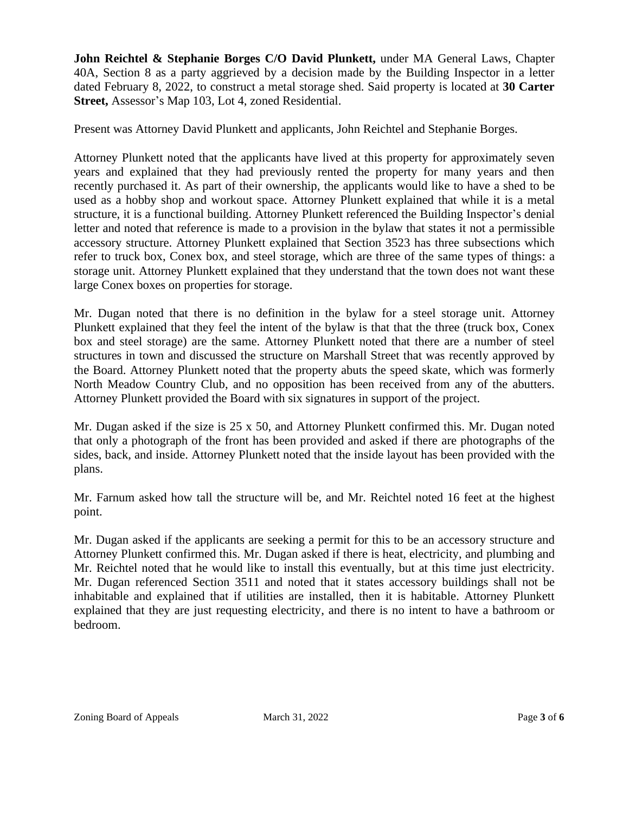**John Reichtel & Stephanie Borges C/O David Plunkett,** under MA General Laws, Chapter 40A, Section 8 as a party aggrieved by a decision made by the Building Inspector in a letter dated February 8, 2022, to construct a metal storage shed. Said property is located at **30 Carter Street,** Assessor's Map 103, Lot 4, zoned Residential.

Present was Attorney David Plunkett and applicants, John Reichtel and Stephanie Borges.

Attorney Plunkett noted that the applicants have lived at this property for approximately seven years and explained that they had previously rented the property for many years and then recently purchased it. As part of their ownership, the applicants would like to have a shed to be used as a hobby shop and workout space. Attorney Plunkett explained that while it is a metal structure, it is a functional building. Attorney Plunkett referenced the Building Inspector's denial letter and noted that reference is made to a provision in the bylaw that states it not a permissible accessory structure. Attorney Plunkett explained that Section 3523 has three subsections which refer to truck box, Conex box, and steel storage, which are three of the same types of things: a storage unit. Attorney Plunkett explained that they understand that the town does not want these large Conex boxes on properties for storage.

Mr. Dugan noted that there is no definition in the bylaw for a steel storage unit. Attorney Plunkett explained that they feel the intent of the bylaw is that that the three (truck box, Conex box and steel storage) are the same. Attorney Plunkett noted that there are a number of steel structures in town and discussed the structure on Marshall Street that was recently approved by the Board. Attorney Plunkett noted that the property abuts the speed skate, which was formerly North Meadow Country Club, and no opposition has been received from any of the abutters. Attorney Plunkett provided the Board with six signatures in support of the project.

Mr. Dugan asked if the size is 25 x 50, and Attorney Plunkett confirmed this. Mr. Dugan noted that only a photograph of the front has been provided and asked if there are photographs of the sides, back, and inside. Attorney Plunkett noted that the inside layout has been provided with the plans.

Mr. Farnum asked how tall the structure will be, and Mr. Reichtel noted 16 feet at the highest point.

Mr. Dugan asked if the applicants are seeking a permit for this to be an accessory structure and Attorney Plunkett confirmed this. Mr. Dugan asked if there is heat, electricity, and plumbing and Mr. Reichtel noted that he would like to install this eventually, but at this time just electricity. Mr. Dugan referenced Section 3511 and noted that it states accessory buildings shall not be inhabitable and explained that if utilities are installed, then it is habitable. Attorney Plunkett explained that they are just requesting electricity, and there is no intent to have a bathroom or bedroom.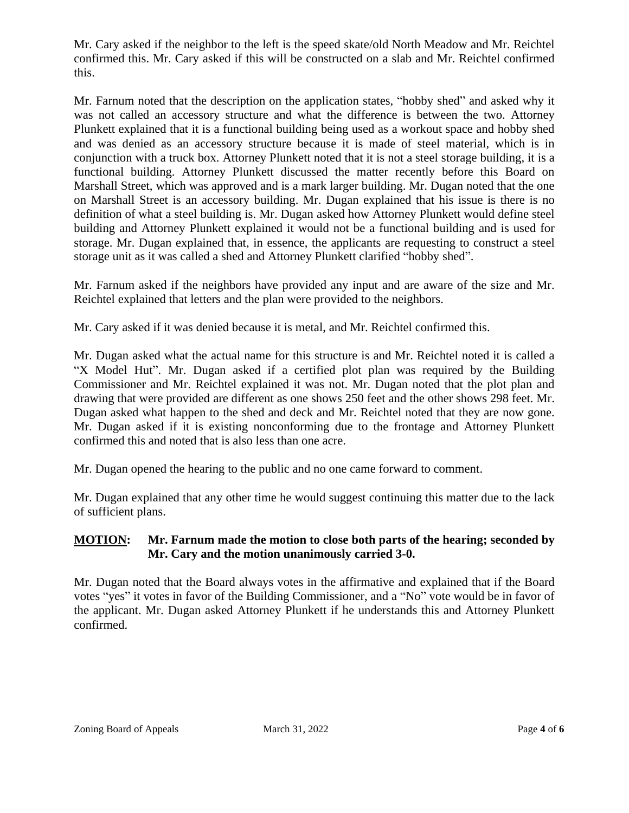Mr. Cary asked if the neighbor to the left is the speed skate/old North Meadow and Mr. Reichtel confirmed this. Mr. Cary asked if this will be constructed on a slab and Mr. Reichtel confirmed this.

Mr. Farnum noted that the description on the application states, "hobby shed" and asked why it was not called an accessory structure and what the difference is between the two. Attorney Plunkett explained that it is a functional building being used as a workout space and hobby shed and was denied as an accessory structure because it is made of steel material, which is in conjunction with a truck box. Attorney Plunkett noted that it is not a steel storage building, it is a functional building. Attorney Plunkett discussed the matter recently before this Board on Marshall Street, which was approved and is a mark larger building. Mr. Dugan noted that the one on Marshall Street is an accessory building. Mr. Dugan explained that his issue is there is no definition of what a steel building is. Mr. Dugan asked how Attorney Plunkett would define steel building and Attorney Plunkett explained it would not be a functional building and is used for storage. Mr. Dugan explained that, in essence, the applicants are requesting to construct a steel storage unit as it was called a shed and Attorney Plunkett clarified "hobby shed".

Mr. Farnum asked if the neighbors have provided any input and are aware of the size and Mr. Reichtel explained that letters and the plan were provided to the neighbors.

Mr. Cary asked if it was denied because it is metal, and Mr. Reichtel confirmed this.

Mr. Dugan asked what the actual name for this structure is and Mr. Reichtel noted it is called a "X Model Hut". Mr. Dugan asked if a certified plot plan was required by the Building Commissioner and Mr. Reichtel explained it was not. Mr. Dugan noted that the plot plan and drawing that were provided are different as one shows 250 feet and the other shows 298 feet. Mr. Dugan asked what happen to the shed and deck and Mr. Reichtel noted that they are now gone. Mr. Dugan asked if it is existing nonconforming due to the frontage and Attorney Plunkett confirmed this and noted that is also less than one acre.

Mr. Dugan opened the hearing to the public and no one came forward to comment.

Mr. Dugan explained that any other time he would suggest continuing this matter due to the lack of sufficient plans.

## **MOTION: Mr. Farnum made the motion to close both parts of the hearing; seconded by Mr. Cary and the motion unanimously carried 3-0.**

Mr. Dugan noted that the Board always votes in the affirmative and explained that if the Board votes "yes" it votes in favor of the Building Commissioner, and a "No" vote would be in favor of the applicant. Mr. Dugan asked Attorney Plunkett if he understands this and Attorney Plunkett confirmed.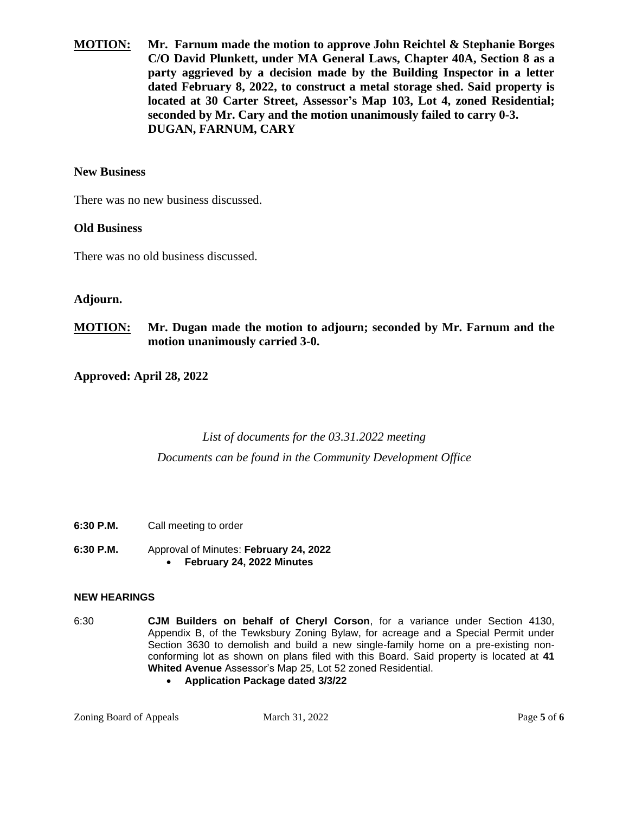**MOTION: Mr. Farnum made the motion to approve John Reichtel & Stephanie Borges C/O David Plunkett, under MA General Laws, Chapter 40A, Section 8 as a party aggrieved by a decision made by the Building Inspector in a letter dated February 8, 2022, to construct a metal storage shed. Said property is located at 30 Carter Street, Assessor's Map 103, Lot 4, zoned Residential; seconded by Mr. Cary and the motion unanimously failed to carry 0-3. DUGAN, FARNUM, CARY**

#### **New Business**

There was no new business discussed.

#### **Old Business**

There was no old business discussed.

### **Adjourn.**

### **MOTION: Mr. Dugan made the motion to adjourn; seconded by Mr. Farnum and the motion unanimously carried 3-0.**

**Approved: April 28, 2022**

# *List of documents for the 03.31.2022 meeting Documents can be found in the Community Development Office*

- **6:30 P.M.** Call meeting to order
- **6:30 P.M.** Approval of Minutes: **February 24, 2022** • **February 24, 2022 Minutes**

#### **NEW HEARINGS**

- 6:30 **CJM Builders on behalf of Cheryl Corson**, for a variance under Section 4130, Appendix B, of the Tewksbury Zoning Bylaw, for acreage and a Special Permit under Section 3630 to demolish and build a new single-family home on a pre-existing nonconforming lot as shown on plans filed with this Board. Said property is located at **41 Whited Avenue** Assessor's Map 25, Lot 52 zoned Residential.
	- **Application Package dated 3/3/22**